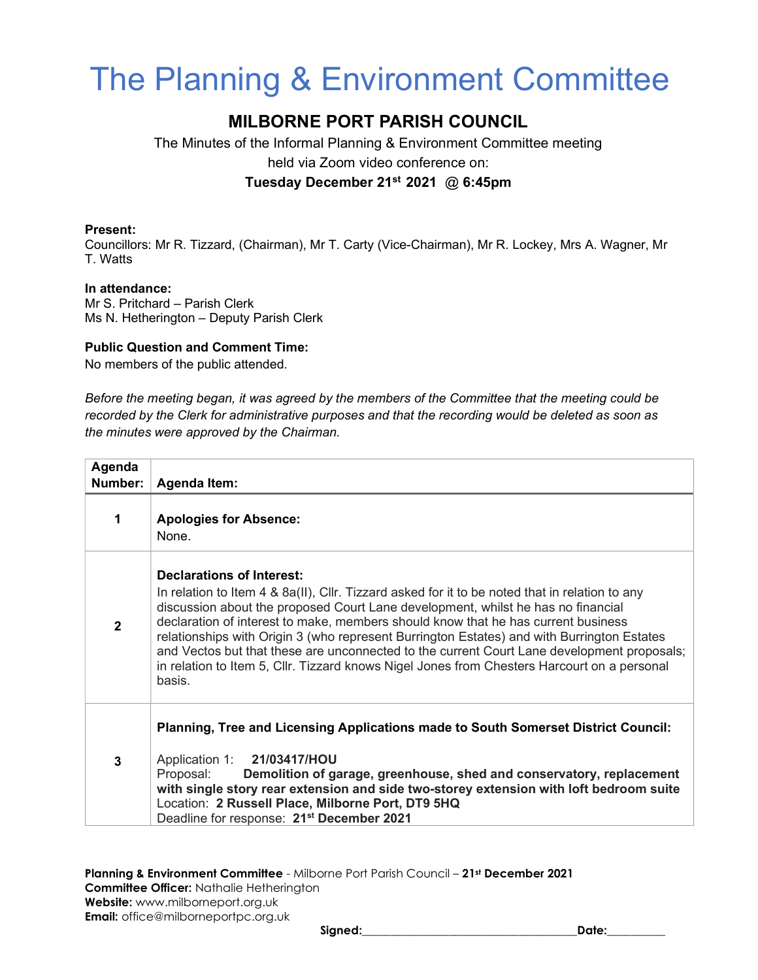# The Planning & Environment Committee

## MILBORNE PORT PARISH COUNCIL

The Minutes of the Informal Planning & Environment Committee meeting held via Zoom video conference on:

## Tuesday December 21st 2021 @ 6:45pm

#### Present:

Councillors: Mr R. Tizzard, (Chairman), Mr T. Carty (Vice-Chairman), Mr R. Lockey, Mrs A. Wagner, Mr T. Watts

#### In attendance:

Mr S. Pritchard – Parish Clerk Ms N. Hetherington – Deputy Parish Clerk

#### Public Question and Comment Time:

No members of the public attended.

Before the meeting began, it was agreed by the members of the Committee that the meeting could be recorded by the Clerk for administrative purposes and that the recording would be deleted as soon as the minutes were approved by the Chairman.

| Agenda<br>Number: | Agenda Item:                                                                                                                                                                                                                                                                                                                                                                                                                                                                                                                                                                                              |
|-------------------|-----------------------------------------------------------------------------------------------------------------------------------------------------------------------------------------------------------------------------------------------------------------------------------------------------------------------------------------------------------------------------------------------------------------------------------------------------------------------------------------------------------------------------------------------------------------------------------------------------------|
|                   | <b>Apologies for Absence:</b><br>None.                                                                                                                                                                                                                                                                                                                                                                                                                                                                                                                                                                    |
| $\mathbf{2}$      | Declarations of Interest:<br>In relation to Item 4 & 8a(II), Cllr. Tizzard asked for it to be noted that in relation to any<br>discussion about the proposed Court Lane development, whilst he has no financial<br>declaration of interest to make, members should know that he has current business<br>relationships with Origin 3 (who represent Burrington Estates) and with Burrington Estates<br>and Vectos but that these are unconnected to the current Court Lane development proposals;<br>in relation to Item 5, Cllr. Tizzard knows Nigel Jones from Chesters Harcourt on a personal<br>basis. |
| 3                 | Planning, Tree and Licensing Applications made to South Somerset District Council:<br>Application 1: 21/03417/HOU<br>Proposal:<br>Demolition of garage, greenhouse, shed and conservatory, replacement<br>with single story rear extension and side two-storey extension with loft bedroom suite<br>Location: 2 Russell Place, Milborne Port, DT9 5HQ<br>Deadline for response: 21 <sup>st</sup> December 2021                                                                                                                                                                                            |

Planning & Environment Committee - Milborne Port Parish Council - 21st December 2021 Committee Officer: Nathalie Hetherington Website: www.milborneport.org.uk Email: office@milborneportpc.org.uk

Signed:\_\_\_\_\_\_\_\_\_\_\_\_\_\_\_\_\_\_\_\_\_\_\_\_\_\_\_\_\_\_\_\_\_\_\_\_\_Date:\_\_\_\_\_\_\_\_\_\_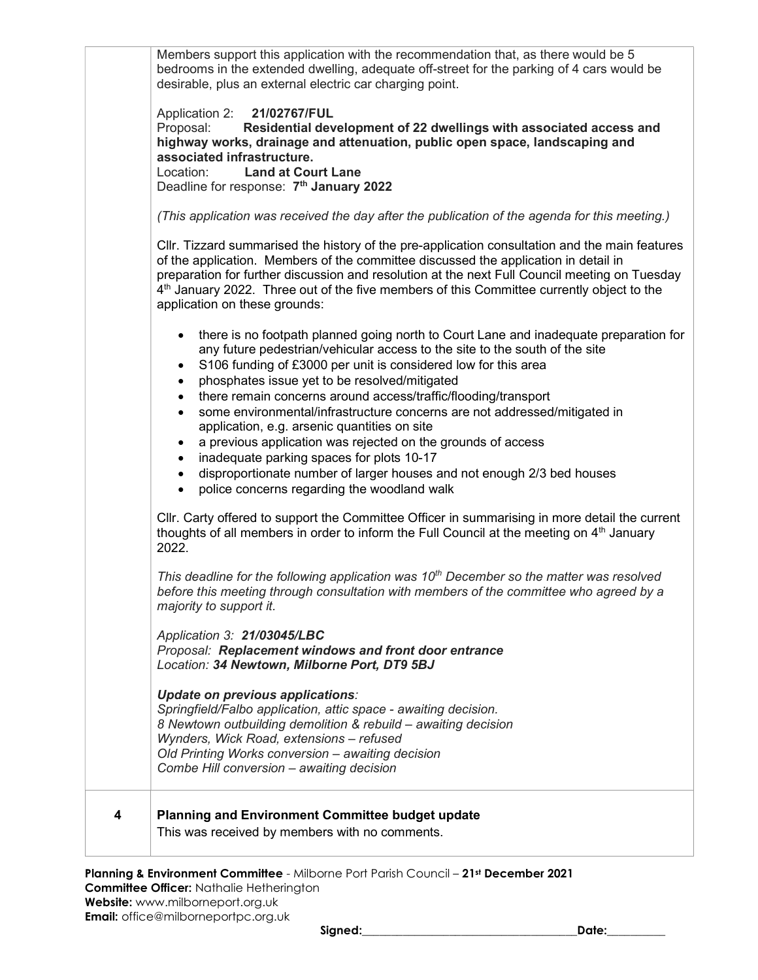| 4 | Planning and Environment Committee budget update<br>This was received by members with no comments.                                                                                                                                                                                                                                                                                                                                                                                                                                                                                                                                                                                                                |
|---|-------------------------------------------------------------------------------------------------------------------------------------------------------------------------------------------------------------------------------------------------------------------------------------------------------------------------------------------------------------------------------------------------------------------------------------------------------------------------------------------------------------------------------------------------------------------------------------------------------------------------------------------------------------------------------------------------------------------|
|   | Update on previous applications:<br>Springfield/Falbo application, attic space - awaiting decision.<br>8 Newtown outbuilding demolition & rebuild – awaiting decision<br>Wynders, Wick Road, extensions - refused<br>Old Printing Works conversion - awaiting decision<br>Combe Hill conversion - awaiting decision                                                                                                                                                                                                                                                                                                                                                                                               |
|   | Application 3: 21/03045/LBC<br>Proposal: Replacement windows and front door entrance<br>Location: 34 Newtown, Milborne Port, DT9 5BJ                                                                                                                                                                                                                                                                                                                                                                                                                                                                                                                                                                              |
|   | This deadline for the following application was $10th$ December so the matter was resolved<br>before this meeting through consultation with members of the committee who agreed by a<br>majority to support it.                                                                                                                                                                                                                                                                                                                                                                                                                                                                                                   |
|   | CIIr. Carty offered to support the Committee Officer in summarising in more detail the current<br>thoughts of all members in order to inform the Full Council at the meeting on 4 <sup>th</sup> January<br>2022.                                                                                                                                                                                                                                                                                                                                                                                                                                                                                                  |
|   | any future pedestrian/vehicular access to the site to the south of the site<br>S106 funding of £3000 per unit is considered low for this area<br>$\bullet$<br>phosphates issue yet to be resolved/mitigated<br>there remain concerns around access/traffic/flooding/transport<br>$\bullet$<br>some environmental/infrastructure concerns are not addressed/mitigated in<br>$\bullet$<br>application, e.g. arsenic quantities on site<br>a previous application was rejected on the grounds of access<br>$\bullet$<br>inadequate parking spaces for plots 10-17<br>disproportionate number of larger houses and not enough 2/3 bed houses<br>$\bullet$<br>police concerns regarding the woodland walk<br>$\bullet$ |
|   | CIIr. Tizzard summarised the history of the pre-application consultation and the main features<br>of the application. Members of the committee discussed the application in detail in<br>preparation for further discussion and resolution at the next Full Council meeting on Tuesday<br>4 <sup>th</sup> January 2022. Three out of the five members of this Committee currently object to the<br>application on these grounds:<br>there is no footpath planned going north to Court Lane and inadequate preparation for<br>$\bullet$                                                                                                                                                                            |
|   | Proposal:<br>Residential development of 22 dwellings with associated access and<br>highway works, drainage and attenuation, public open space, landscaping and<br>associated infrastructure.<br>Location:<br><b>Land at Court Lane</b><br>Deadline for response: 7 <sup>th</sup> January 2022<br>(This application was received the day after the publication of the agenda for this meeting.)                                                                                                                                                                                                                                                                                                                    |
|   | Members support this application with the recommendation that, as there would be 5<br>bedrooms in the extended dwelling, adequate off-street for the parking of 4 cars would be<br>desirable, plus an external electric car charging point.<br>Application 2:<br>21/02767/FUL                                                                                                                                                                                                                                                                                                                                                                                                                                     |

Planning & Environment Committee - Milborne Port Parish Council – 21st December 2021 Committee Officer: Nathalie Hetherington Website: www.milborneport.org.uk

Email: office@milborneportpc.org.uk

Signed:\_\_\_\_\_\_\_\_\_\_\_\_\_\_\_\_\_\_\_\_\_\_\_\_\_\_\_\_\_\_\_\_\_\_\_\_\_Date:\_\_\_\_\_\_\_\_\_\_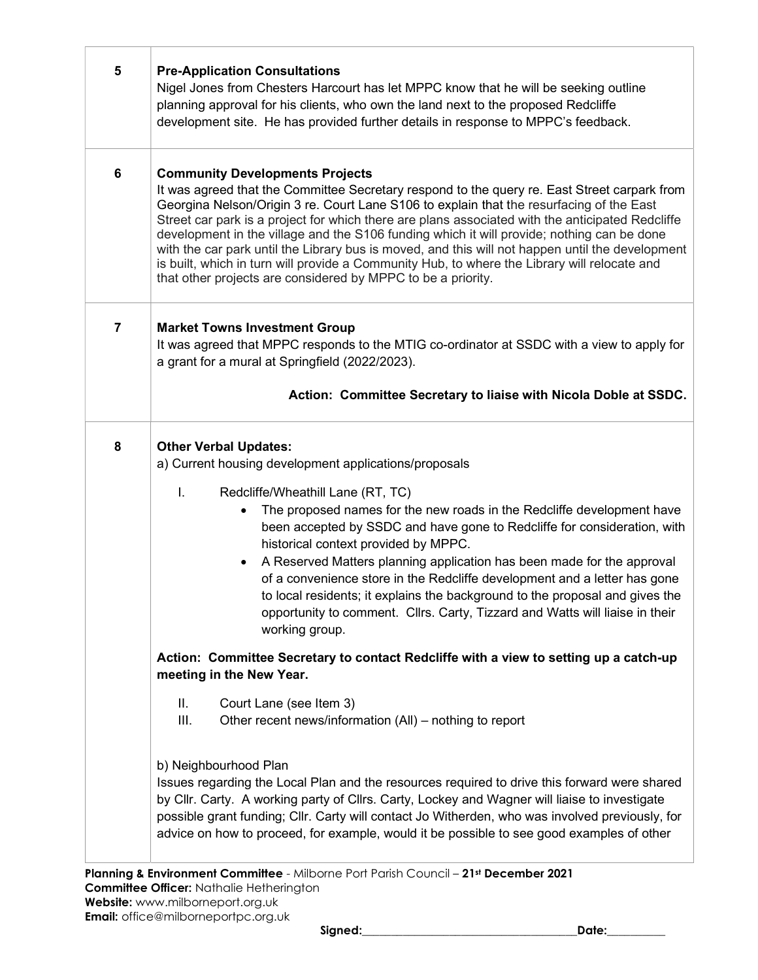| 5              | <b>Pre-Application Consultations</b><br>Nigel Jones from Chesters Harcourt has let MPPC know that he will be seeking outline<br>planning approval for his clients, who own the land next to the proposed Redcliffe<br>development site. He has provided further details in response to MPPC's feedback.                                                                                                                                                                                                                                                                                                                                                                                                  |
|----------------|----------------------------------------------------------------------------------------------------------------------------------------------------------------------------------------------------------------------------------------------------------------------------------------------------------------------------------------------------------------------------------------------------------------------------------------------------------------------------------------------------------------------------------------------------------------------------------------------------------------------------------------------------------------------------------------------------------|
| 6              | <b>Community Developments Projects</b><br>It was agreed that the Committee Secretary respond to the query re. East Street carpark from<br>Georgina Nelson/Origin 3 re. Court Lane S106 to explain that the resurfacing of the East<br>Street car park is a project for which there are plans associated with the anticipated Redcliffe<br>development in the village and the S106 funding which it will provide; nothing can be done<br>with the car park until the Library bus is moved, and this will not happen until the development<br>is built, which in turn will provide a Community Hub, to where the Library will relocate and<br>that other projects are considered by MPPC to be a priority. |
| $\overline{7}$ | <b>Market Towns Investment Group</b><br>It was agreed that MPPC responds to the MTIG co-ordinator at SSDC with a view to apply for<br>a grant for a mural at Springfield (2022/2023).<br>Action: Committee Secretary to liaise with Nicola Doble at SSDC.                                                                                                                                                                                                                                                                                                                                                                                                                                                |
|                |                                                                                                                                                                                                                                                                                                                                                                                                                                                                                                                                                                                                                                                                                                          |
| 8              | <b>Other Verbal Updates:</b><br>a) Current housing development applications/proposals<br>I.<br>Redcliffe/Wheathill Lane (RT, TC)<br>The proposed names for the new roads in the Redcliffe development have<br>been accepted by SSDC and have gone to Redcliffe for consideration, with<br>historical context provided by MPPC.<br>A Reserved Matters planning application has been made for the approval<br>of a convenience store in the Redcliffe development and a letter has gone<br>to local residents; it explains the background to the proposal and gives the<br>opportunity to comment. Cllrs. Carty, Tizzard and Watts will liaise in their<br>working group.                                  |
|                | Action: Committee Secretary to contact Redcliffe with a view to setting up a catch-up<br>meeting in the New Year.                                                                                                                                                                                                                                                                                                                                                                                                                                                                                                                                                                                        |
|                | Ш.<br>Court Lane (see Item 3)<br>Ш.<br>Other recent news/information (All) – nothing to report                                                                                                                                                                                                                                                                                                                                                                                                                                                                                                                                                                                                           |
|                | b) Neighbourhood Plan<br>Issues regarding the Local Plan and the resources required to drive this forward were shared<br>by Cllr. Carty. A working party of Cllrs. Carty, Lockey and Wagner will liaise to investigate<br>possible grant funding; Cllr. Carty will contact Jo Witherden, who was involved previously, for<br>advice on how to proceed, for example, would it be possible to see good examples of other<br>Planning & Environment Committee - Milborne Port Parish Council - 21st December 2021                                                                                                                                                                                           |

Committee Officer: Nathalie Hetherington

Website: www.milborneport.org.uk Email: office@milborneportpc.org.uk

 $\sqrt{ }$ 

т

Signed:\_\_\_\_\_\_\_\_\_\_\_\_\_\_\_\_\_\_\_\_\_\_\_\_\_\_\_\_\_\_\_\_\_\_\_\_\_Date:\_\_\_\_\_\_\_\_\_\_